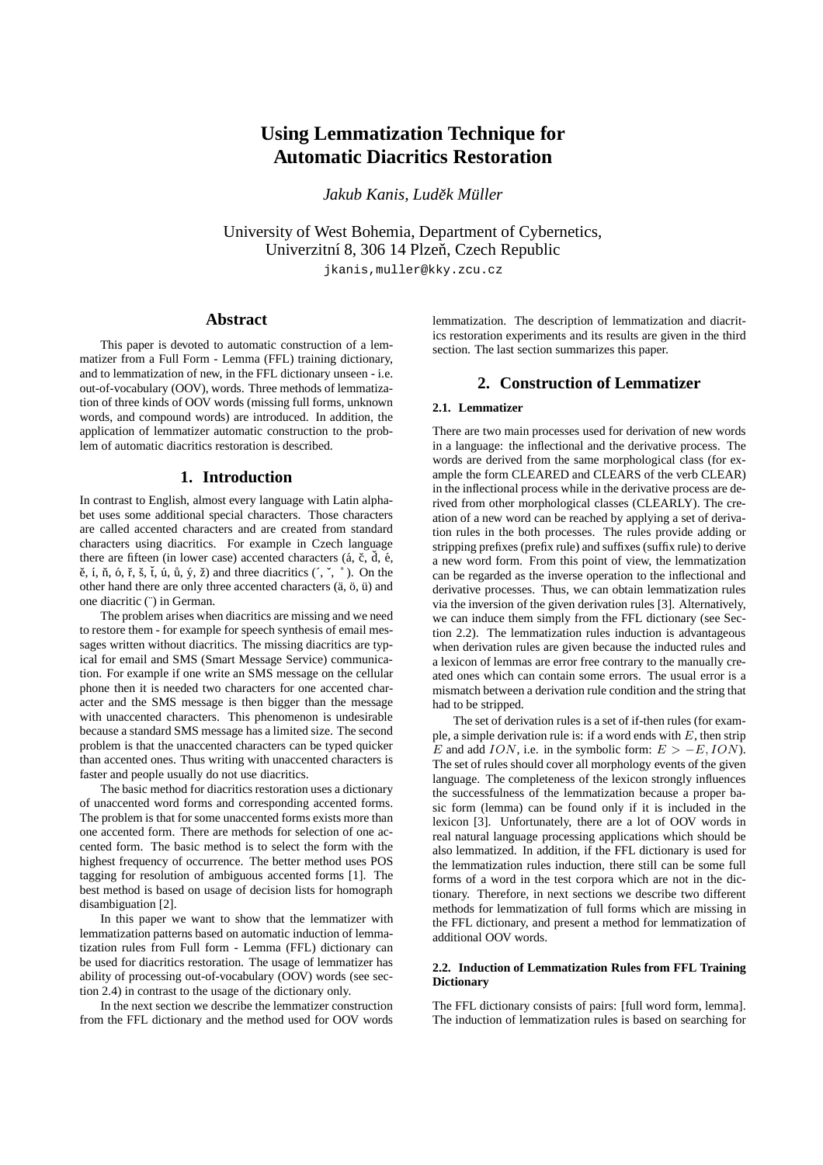# **Using Lemmatization Technique for Automatic Diacritics Restoration**

*Jakub Kanis, Ludekˇ Muller ¨*

University of West Bohemia, Department of Cybernetics, Univerzitní 8, 306 14 Plzeň, Czech Republic

jkanis,muller@kky.zcu.cz

# **Abstract**

This paper is devoted to automatic construction of a lemmatizer from a Full Form - Lemma (FFL) training dictionary, and to lemmatization of new, in the FFL dictionary unseen - i.e. out-of-vocabulary (OOV), words. Three methods of lemmatization of three kinds of OOV words (missing full forms, unknown words, and compound words) are introduced. In addition, the application of lemmatizer automatic construction to the problem of automatic diacritics restoration is described.

## **1. Introduction**

In contrast to English, almost every language with Latin alphabet uses some additional special characters. Those characters are called accented characters and are created from standard characters using diacritics. For example in Czech language there are fifteen (in lower case) accented characters ( $\acute{a}$ ,  $\acute{c}$ ,  $\dot{d}$ ,  $\acute{e}$ ,  $\check{e}$ , í, ň, ó, ř, š, ť, ú, ů, ý, ž) and three diacritics  $(\check{,} \check{,} \check{,} \check{,} \check{,} \check{,})$ . On the other hand there are only three accented characters  $(\ddot{a}, \ddot{o}, \ddot{u})$  and one diacritic (¨) in German.

The problem arises when diacritics are missing and we need to restore them - for example for speech synthesis of email messages written without diacritics. The missing diacritics are typical for email and SMS (Smart Message Service) communication. For example if one write an SMS message on the cellular phone then it is needed two characters for one accented character and the SMS message is then bigger than the message with unaccented characters. This phenomenon is undesirable because a standard SMS message has a limited size. The second problem is that the unaccented characters can be typed quicker than accented ones. Thus writing with unaccented characters is faster and people usually do not use diacritics.

The basic method for diacritics restoration uses a dictionary of unaccented word forms and corresponding accented forms. The problem is that for some unaccented forms exists more than one accented form. There are methods for selection of one accented form. The basic method is to select the form with the highest frequency of occurrence. The better method uses POS tagging for resolution of ambiguous accented forms [1]. The best method is based on usage of decision lists for homograph disambiguation [2].

In this paper we want to show that the lemmatizer with lemmatization patterns based on automatic induction of lemmatization rules from Full form - Lemma (FFL) dictionary can be used for diacritics restoration. The usage of lemmatizer has ability of processing out-of-vocabulary (OOV) words (see section 2.4) in contrast to the usage of the dictionary only.

In the next section we describe the lemmatizer construction from the FFL dictionary and the method used for OOV words lemmatization. The description of lemmatization and diacritics restoration experiments and its results are given in the third section. The last section summarizes this paper.

## **2. Construction of Lemmatizer**

## **2.1. Lemmatizer**

There are two main processes used for derivation of new words in a language: the inflectional and the derivative process. The words are derived from the same morphological class (for example the form CLEARED and CLEARS of the verb CLEAR) in the inflectional process while in the derivative process are derived from other morphological classes (CLEARLY). The creation of a new word can be reached by applying a set of derivation rules in the both processes. The rules provide adding or stripping prefixes (prefix rule) and suffixes (suffix rule) to derive a new word form. From this point of view, the lemmatization can be regarded as the inverse operation to the inflectional and derivative processes. Thus, we can obtain lemmatization rules via the inversion of the given derivation rules [3]. Alternatively, we can induce them simply from the FFL dictionary (see Section 2.2). The lemmatization rules induction is advantageous when derivation rules are given because the inducted rules and a lexicon of lemmas are error free contrary to the manually created ones which can contain some errors. The usual error is a mismatch between a derivation rule condition and the string that had to be stripped.

The set of derivation rules is a set of if-then rules (for example, a simple derivation rule is: if a word ends with  $E$ , then strip E and add ION, i.e. in the symbolic form:  $E > -E$ , ION). The set of rules should cover all morphology events of the given language. The completeness of the lexicon strongly influences the successfulness of the lemmatization because a proper basic form (lemma) can be found only if it is included in the lexicon [3]. Unfortunately, there are a lot of OOV words in real natural language processing applications which should be also lemmatized. In addition, if the FFL dictionary is used for the lemmatization rules induction, there still can be some full forms of a word in the test corpora which are not in the dictionary. Therefore, in next sections we describe two different methods for lemmatization of full forms which are missing in the FFL dictionary, and present a method for lemmatization of additional OOV words.

## **2.2. Induction of Lemmatization Rules from FFL Training Dictionary**

The FFL dictionary consists of pairs: [full word form, lemma]. The induction of lemmatization rules is based on searching for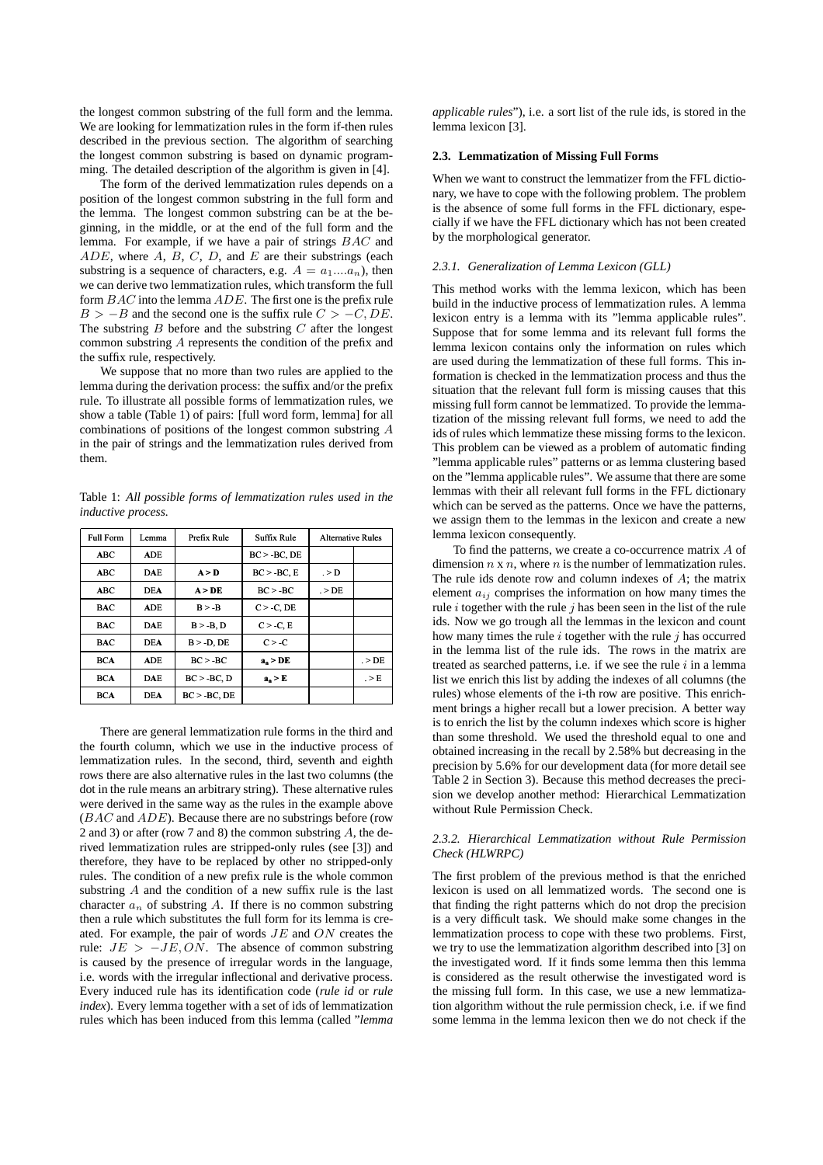the longest common substring of the full form and the lemma. We are looking for lemmatization rules in the form if-then rules described in the previous section. The algorithm of searching the longest common substring is based on dynamic programming. The detailed description of the algorithm is given in [4].

The form of the derived lemmatization rules depends on a position of the longest common substring in the full form and the lemma. The longest common substring can be at the beginning, in the middle, or at the end of the full form and the lemma. For example, if we have a pair of strings BAC and  $ADE$ , where  $A$ ,  $B$ ,  $C$ ,  $D$ , and  $E$  are their substrings (each substring is a sequence of characters, e.g.  $A = a_1...a_n$ , then we can derive two lemmatization rules, which transform the full form  $BAC$  into the lemma  $ADE$ . The first one is the prefix rule  $B > -B$  and the second one is the suffix rule  $C > -C$ , DE. The substring  $B$  before and the substring  $C$  after the longest common substring A represents the condition of the prefix and the suffix rule, respectively.

We suppose that no more than two rules are applied to the lemma during the derivation process: the suffix and/or the prefix rule. To illustrate all possible forms of lemmatization rules, we show a table (Table 1) of pairs: [full word form, lemma] for all combinations of positions of the longest common substring A in the pair of strings and the lemmatization rules derived from them.

Table 1: *All possible forms of lemmatization rules used in the inductive process.*

| <b>Full Form</b> | Lemma      | Prefix Rule       | Suffix Rule       | <b>Alternative Rules</b> |                              |
|------------------|------------|-------------------|-------------------|--------------------------|------------------------------|
| ABC              | ADE        |                   | $BC > -BC$ , $DE$ |                          |                              |
| <b>ABC</b>       | <b>DAE</b> | A > D             | $BC > BC$ , $E$   | $\cdot > D$              |                              |
| <b>ABC</b>       | <b>DEA</b> | A > DE            | $BC > -BC$        | $>$ DE                   |                              |
| <b>BAC</b>       | <b>ADE</b> | $B > -B$          | $C > -C$ , DE     |                          |                              |
| <b>BAC</b>       | <b>DAE</b> | $B > -B$ , $D$    | $C > -C$ , E      |                          |                              |
| <b>BAC</b>       | <b>DEA</b> | $B > -D$ , DE     | $C > -C$          |                          |                              |
| <b>BCA</b>       | <b>ADE</b> | $BC > -BC$        | $a_n > DE$        |                          | . > DE                       |
| <b>BCA</b>       | <b>DAE</b> | $BC > -BC$ , $D$  | $a_n > E$         |                          | $\mathsf{P} \geq \mathsf{E}$ |
| <b>BCA</b>       | <b>DEA</b> | $BC > -BC$ , $DE$ |                   |                          |                              |

There are general lemmatization rule forms in the third and the fourth column, which we use in the inductive process of lemmatization rules. In the second, third, seventh and eighth rows there are also alternative rules in the last two columns (the dot in the rule means an arbitrary string). These alternative rules were derived in the same way as the rules in the example above  $(BAC)$  and  $ADE$ ). Because there are no substrings before (row 2 and 3) or after (row 7 and 8) the common substring  $A$ , the derived lemmatization rules are stripped-only rules (see [3]) and therefore, they have to be replaced by other no stripped-only rules. The condition of a new prefix rule is the whole common substring  $A$  and the condition of a new suffix rule is the last character  $a_n$  of substring A. If there is no common substring then a rule which substitutes the full form for its lemma is created. For example, the pair of words  $JE$  and  $ON$  creates the rule:  $JE > -JE$ ,  $ON$ . The absence of common substring is caused by the presence of irregular words in the language, i.e. words with the irregular inflectional and derivative process. Every induced rule has its identification code (*rule id* or *rule index*). Every lemma together with a set of ids of lemmatization rules which has been induced from this lemma (called "*lemma* *applicable rules*"), i.e. a sort list of the rule ids, is stored in the lemma lexicon [3].

#### **2.3. Lemmatization of Missing Full Forms**

When we want to construct the lemmatizer from the FFL dictionary, we have to cope with the following problem. The problem is the absence of some full forms in the FFL dictionary, especially if we have the FFL dictionary which has not been created by the morphological generator.

#### *2.3.1. Generalization of Lemma Lexicon (GLL)*

This method works with the lemma lexicon, which has been build in the inductive process of lemmatization rules. A lemma lexicon entry is a lemma with its "lemma applicable rules". Suppose that for some lemma and its relevant full forms the lemma lexicon contains only the information on rules which are used during the lemmatization of these full forms. This information is checked in the lemmatization process and thus the situation that the relevant full form is missing causes that this missing full form cannot be lemmatized. To provide the lemmatization of the missing relevant full forms, we need to add the ids of rules which lemmatize these missing forms to the lexicon. This problem can be viewed as a problem of automatic finding "lemma applicable rules" patterns or as lemma clustering based on the "lemma applicable rules". We assume that there are some lemmas with their all relevant full forms in the FFL dictionary which can be served as the patterns. Once we have the patterns, we assign them to the lemmas in the lexicon and create a new lemma lexicon consequently.

To find the patterns, we create a co-occurrence matrix A of dimension  $n \times n$ , where  $n$  is the number of lemmatization rules. The rule ids denote row and column indexes of  $A$ ; the matrix element  $a_{ij}$  comprises the information on how many times the rule  $i$  together with the rule  $j$  has been seen in the list of the rule ids. Now we go trough all the lemmas in the lexicon and count how many times the rule  $i$  together with the rule  $j$  has occurred in the lemma list of the rule ids. The rows in the matrix are treated as searched patterns, i.e. if we see the rule  $i$  in a lemma list we enrich this list by adding the indexes of all columns (the rules) whose elements of the i-th row are positive. This enrichment brings a higher recall but a lower precision. A better way is to enrich the list by the column indexes which score is higher than some threshold. We used the threshold equal to one and obtained increasing in the recall by 2.58% but decreasing in the precision by 5.6% for our development data (for more detail see Table 2 in Section 3). Because this method decreases the precision we develop another method: Hierarchical Lemmatization without Rule Permission Check.

## *2.3.2. Hierarchical Lemmatization without Rule Permission Check (HLWRPC)*

The first problem of the previous method is that the enriched lexicon is used on all lemmatized words. The second one is that finding the right patterns which do not drop the precision is a very difficult task. We should make some changes in the lemmatization process to cope with these two problems. First, we try to use the lemmatization algorithm described into [3] on the investigated word. If it finds some lemma then this lemma is considered as the result otherwise the investigated word is the missing full form. In this case, we use a new lemmatization algorithm without the rule permission check, i.e. if we find some lemma in the lemma lexicon then we do not check if the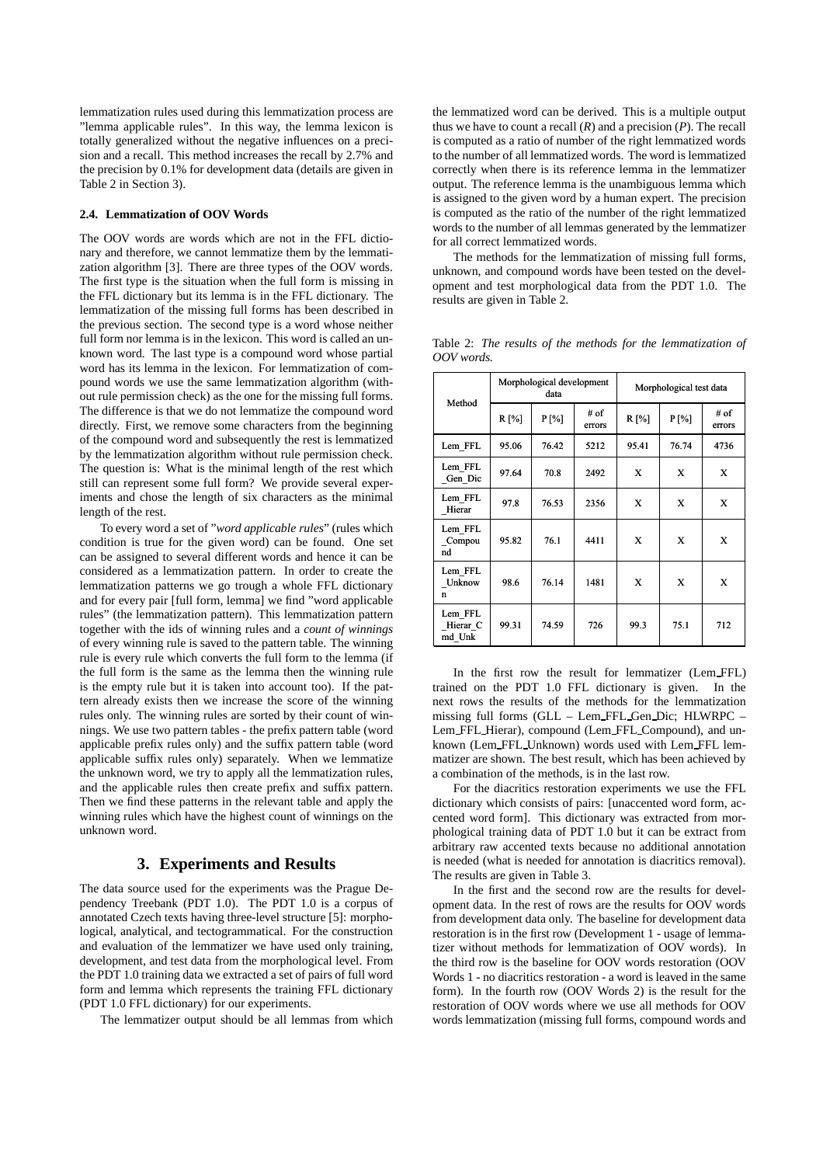lemmatization rules used during this lemmatization process are "lemma applicable rules". In this way, the lemma lexicon is totally generalized without the negative influences on a precision and a recall. This method increases the recall by 2.7% and the precision by 0.1% for development data (details are given in Table 2 in Section 3).

#### **2.4. Lemmatization of OOV Words**

The OOV words are words which are not in the FFL dictionary and therefore, we cannot lemmatize them by the lemmatization algorithm [3]. There are three types of the OOV words. The first type is the situation when the full form is missing in the FFL dictionary but its lemma is in the FFL dictionary. The lemmatization of the missing full forms has been described in the previous section. The second type is a word whose neither full form nor lemma is in the lexicon. This word is called an unknown word. The last type is a compound word whose partial word has its lemma in the lexicon. For lemmatization of compound words we use the same lemmatization algorithm (without rule permission check) as the one for the missing full forms. The difference is that we do not lemmatize the compound word directly. First, we remove some characters from the beginning of the compound word and subsequently the rest is lemmatized by the lemmatization algorithm without rule permission check. The question is: What is the minimal length of the rest which still can represent some full form? We provide several experiments and chose the length of six characters as the minimal length of the rest.

To every word a set of "*word applicable rules*" (rules which condition is true for the given word) can be found. One set can be assigned to several different words and hence it can be considered as a lemmatization pattern. In order to create the lemmatization patterns we go trough a whole FFL dictionary and for every pair [full form, lemma] we find "word applicable rules" (the lemmatization pattern). This lemmatization pattern together with the ids of winning rules and a *count of winnings* of every winning rule is saved to the pattern table. The winning rule is every rule which converts the full form to the lemma (if the full form is the same as the lemma then the winning rule is the empty rule but it is taken into account too). If the pattern already exists then we increase the score of the winning rules only. The winning rules are sorted by their count of winnings. We use two pattern tables - the prefix pattern table (word applicable prefix rules only) and the suffix pattern table (word applicable suffix rules only) separately. When we lemmatize the unknown word, we try to apply all the lemmatization rules, and the applicable rules then create prefix and suffix pattern. Then we find these patterns in the relevant table and apply the winning rules which have the highest count of winnings on the unknown word.

## **3. Experiments and Results**

The data source used for the experiments was the Prague Dependency Treebank (PDT 1.0). The PDT 1.0 is a corpus of annotated Czech texts having three-level structure [5]: morphological, analytical, and tectogrammatical. For the construction and evaluation of the lemmatizer we have used only training, development, and test data from the morphological level. From the PDT 1.0 training data we extracted a set of pairs of full word form and lemma which represents the training FFL dictionary (PDT 1.0 FFL dictionary) for our experiments.

The lemmatizer output should be all lemmas from which

the lemmatized word can be derived. This is a multiple output thus we have to count a recall (*R*) and a precision (*P*). The recall is computed as a ratio of number of the right lemmatized words to the number of all lemmatized words. The word is lemmatized correctly when there is its reference lemma in the lemmatizer output. The reference lemma is the unambiguous lemma which is assigned to the given word by a human expert. The precision is computed as the ratio of the number of the right lemmatized words to the number of all lemmas generated by the lemmatizer for all correct lemmatized words.

The methods for the lemmatization of missing full forms, unknown, and compound words have been tested on the development and test morphological data from the PDT 1.0. The results are given in Table 2.

Table 2: *The results of the methods for the lemmatization of OOV words.*

| Method                           | Morphological development<br>data |       |                | Morphological test data |       |                |
|----------------------------------|-----------------------------------|-------|----------------|-------------------------|-------|----------------|
|                                  | $R[\%]$                           | P[%]  | # of<br>errors | $R[\%]$                 | P[%]  | # of<br>errors |
| Lem FFL                          | 95.06                             | 76.42 | 5212           | 95.41                   | 76.74 | 4736           |
| Lem FFL<br>Gen Dic               | 97.64                             | 70.8  | 2492           | X                       | X     | X              |
| Lem FFL<br>Hierar                | 97.8                              | 76.53 | 2356           | X                       | X     | X              |
| Lem FFL<br>Compou<br>nd          | 95.82                             | 76.1  | 4411           | X                       | X     | X              |
| Lem FFL<br>Unknow<br>$\mathbf n$ | 98.6                              | 76.14 | 1481           | X                       | X     | X              |
| Lem FFL<br>Hierar C<br>md Unk    | 99.31                             | 74.59 | 726            | 99.3                    | 75.1  | 712            |

In the first row the result for lemmatizer (Lem FFL) trained on the PDT 1.0 FFL dictionary is given. In the next rows the results of the methods for the lemmatization missing full forms (GLL – Lem FFL Gen Dic; HLWRPC – Lem FFL Hierar), compound (Lem FFL Compound), and unknown (Lem FFL Unknown) words used with Lem FFL lemmatizer are shown. The best result, which has been achieved by a combination of the methods, is in the last row.

For the diacritics restoration experiments we use the FFL dictionary which consists of pairs: [unaccented word form, accented word form]. This dictionary was extracted from morphological training data of PDT 1.0 but it can be extract from arbitrary raw accented texts because no additional annotation is needed (what is needed for annotation is diacritics removal). The results are given in Table 3.

In the first and the second row are the results for development data. In the rest of rows are the results for OOV words from development data only. The baseline for development data restoration is in the first row (Development 1 - usage of lemmatizer without methods for lemmatization of OOV words). In the third row is the baseline for OOV words restoration (OOV Words 1 - no diacritics restoration - a word is leaved in the same form). In the fourth row (OOV Words 2) is the result for the restoration of OOV words where we use all methods for OOV words lemmatization (missing full forms, compound words and